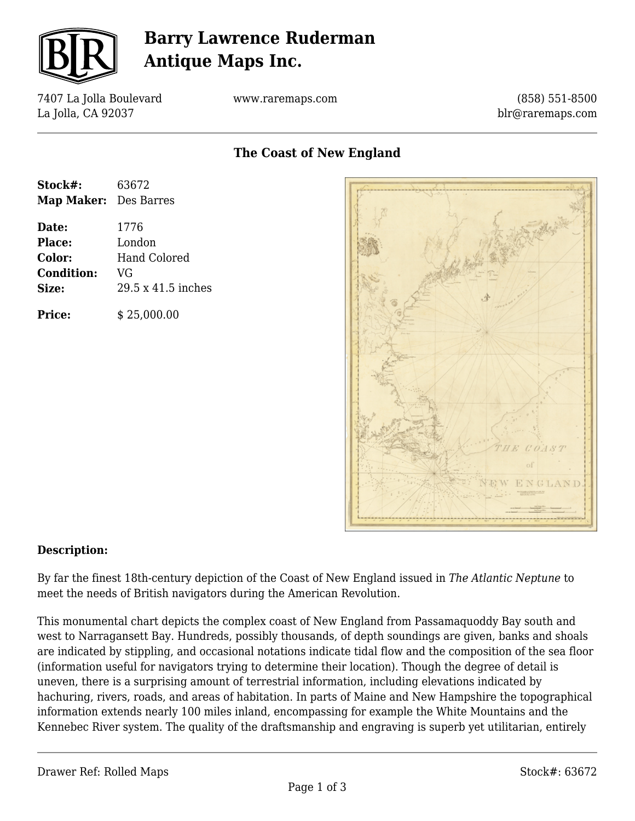

# **Barry Lawrence Ruderman Antique Maps Inc.**

7407 La Jolla Boulevard La Jolla, CA 92037

www.raremaps.com

(858) 551-8500 blr@raremaps.com

## **The Coast of New England**

| Stock#:               | 63672               |
|-----------------------|---------------------|
| Map Maker: Des Barres |                     |
| Date:                 | 1776                |
| <b>Place:</b>         | London              |
| Color:                | <b>Hand Colored</b> |
| <b>Condition:</b>     | VG                  |
| Size:                 | 29.5 x 41.5 inches  |
| <b>Price:</b>         | \$25,000.00         |



#### **Description:**

By far the finest 18th-century depiction of the Coast of New England issued in *The Atlantic Neptune* to meet the needs of British navigators during the American Revolution.

This monumental chart depicts the complex coast of New England from Passamaquoddy Bay south and west to Narragansett Bay. Hundreds, possibly thousands, of depth soundings are given, banks and shoals are indicated by stippling, and occasional notations indicate tidal flow and the composition of the sea floor (information useful for navigators trying to determine their location). Though the degree of detail is uneven, there is a surprising amount of terrestrial information, including elevations indicated by hachuring, rivers, roads, and areas of habitation. In parts of Maine and New Hampshire the topographical information extends nearly 100 miles inland, encompassing for example the White Mountains and the Kennebec River system. The quality of the draftsmanship and engraving is superb yet utilitarian, entirely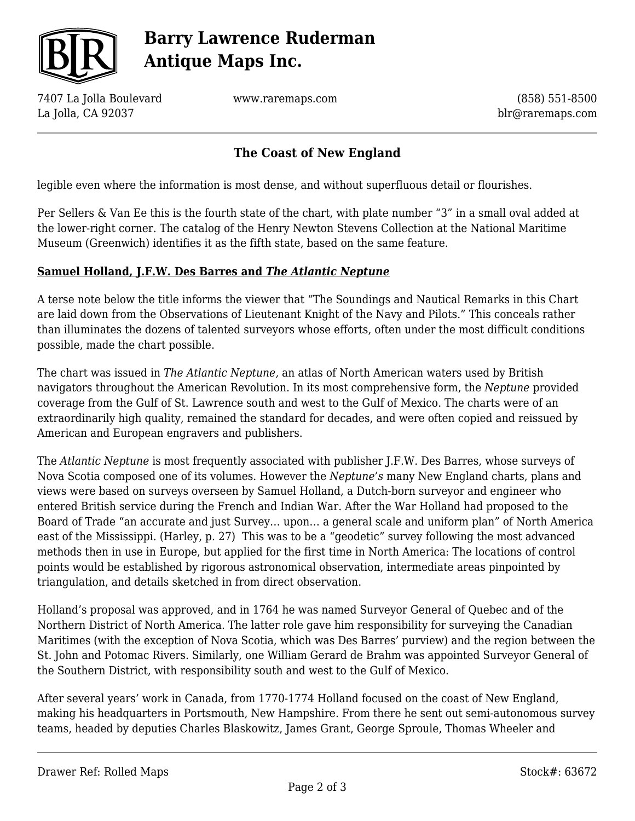

# **Barry Lawrence Ruderman Antique Maps Inc.**

7407 La Jolla Boulevard La Jolla, CA 92037

www.raremaps.com

(858) 551-8500 blr@raremaps.com

### **The Coast of New England**

legible even where the information is most dense, and without superfluous detail or flourishes.

Per Sellers & Van Ee this is the fourth state of the chart, with plate number "3" in a small oval added at the lower-right corner. The catalog of the Henry Newton Stevens Collection at the National Maritime Museum (Greenwich) identifies it as the fifth state, based on the same feature.

#### **Samuel Holland, J.F.W. Des Barres and** *The Atlantic Neptune*

A terse note below the title informs the viewer that "The Soundings and Nautical Remarks in this Chart are laid down from the Observations of Lieutenant Knight of the Navy and Pilots." This conceals rather than illuminates the dozens of talented surveyors whose efforts, often under the most difficult conditions possible, made the chart possible.

The chart was issued in *The Atlantic Neptune,* an atlas of North American waters used by British navigators throughout the American Revolution. In its most comprehensive form, the *Neptune* provided coverage from the Gulf of St. Lawrence south and west to the Gulf of Mexico. The charts were of an extraordinarily high quality, remained the standard for decades, and were often copied and reissued by American and European engravers and publishers.

The *Atlantic Neptune* is most frequently associated with publisher J.F.W. Des Barres, whose surveys of Nova Scotia composed one of its volumes. However the *Neptune's* many New England charts, plans and views were based on surveys overseen by Samuel Holland, a Dutch-born surveyor and engineer who entered British service during the French and Indian War. After the War Holland had proposed to the Board of Trade "an accurate and just Survey… upon… a general scale and uniform plan" of North America east of the Mississippi. (Harley, p. 27) This was to be a "geodetic" survey following the most advanced methods then in use in Europe, but applied for the first time in North America: The locations of control points would be established by rigorous astronomical observation, intermediate areas pinpointed by triangulation, and details sketched in from direct observation.

Holland's proposal was approved, and in 1764 he was named Surveyor General of Quebec and of the Northern District of North America. The latter role gave him responsibility for surveying the Canadian Maritimes (with the exception of Nova Scotia, which was Des Barres' purview) and the region between the St. John and Potomac Rivers. Similarly, one William Gerard de Brahm was appointed Surveyor General of the Southern District, with responsibility south and west to the Gulf of Mexico.

After several years' work in Canada, from 1770-1774 Holland focused on the coast of New England, making his headquarters in Portsmouth, New Hampshire. From there he sent out semi-autonomous survey teams, headed by deputies Charles Blaskowitz, James Grant, George Sproule, Thomas Wheeler and